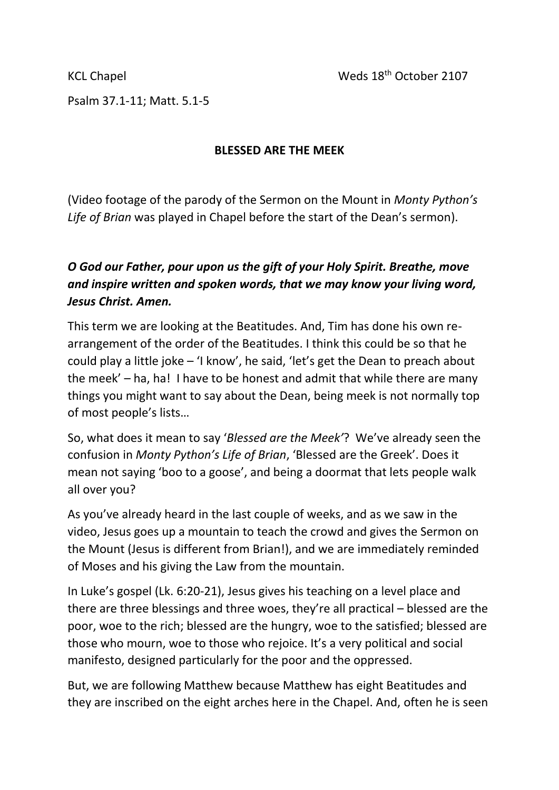Psalm 37.1-11; Matt. 5.1-5

## **BLESSED ARE THE MEEK**

(Video footage of the parody of the Sermon on the Mount in *Monty Python's Life of Brian* was played in Chapel before the start of the Dean's sermon).

## *O God our Father, pour upon us the gift of your Holy Spirit. Breathe, move and inspire written and spoken words, that we may know your living word, Jesus Christ. Amen.*

This term we are looking at the Beatitudes. And, Tim has done his own rearrangement of the order of the Beatitudes. I think this could be so that he could play a little joke – 'I know', he said, 'let's get the Dean to preach about the meek' – ha, ha! I have to be honest and admit that while there are many things you might want to say about the Dean, being meek is not normally top of most people's lists…

So, what does it mean to say '*Blessed are the Meek'*? We've already seen the confusion in *Monty Python's Life of Brian*, 'Blessed are the Greek'. Does it mean not saying 'boo to a goose', and being a doormat that lets people walk all over you?

As you've already heard in the last couple of weeks, and as we saw in the video, Jesus goes up a mountain to teach the crowd and gives the Sermon on the Mount (Jesus is different from Brian!), and we are immediately reminded of Moses and his giving the Law from the mountain.

In Luke's gospel (Lk. 6:20-21), Jesus gives his teaching on a level place and there are three blessings and three woes, they're all practical – blessed are the poor, woe to the rich; blessed are the hungry, woe to the satisfied; blessed are those who mourn, woe to those who rejoice. It's a very political and social manifesto, designed particularly for the poor and the oppressed.

But, we are following Matthew because Matthew has eight Beatitudes and they are inscribed on the eight arches here in the Chapel. And, often he is seen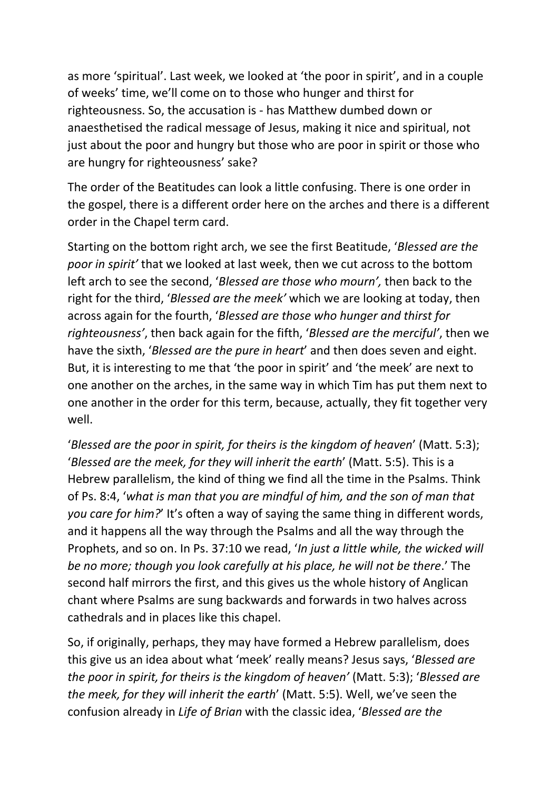as more 'spiritual'. Last week, we looked at 'the poor in spirit', and in a couple of weeks' time, we'll come on to those who hunger and thirst for righteousness. So, the accusation is - has Matthew dumbed down or anaesthetised the radical message of Jesus, making it nice and spiritual, not just about the poor and hungry but those who are poor in spirit or those who are hungry for righteousness' sake?

The order of the Beatitudes can look a little confusing. There is one order in the gospel, there is a different order here on the arches and there is a different order in the Chapel term card.

Starting on the bottom right arch, we see the first Beatitude, '*Blessed are the poor in spirit'* that we looked at last week, then we cut across to the bottom left arch to see the second, '*Blessed are those who mourn',* then back to the right for the third, '*Blessed are the meek'* which we are looking at today, then across again for the fourth, '*Blessed are those who hunger and thirst for righteousness'*, then back again for the fifth, '*Blessed are the merciful'*, then we have the sixth, '*Blessed are the pure in heart*' and then does seven and eight. But, it is interesting to me that 'the poor in spirit' and 'the meek' are next to one another on the arches, in the same way in which Tim has put them next to one another in the order for this term, because, actually, they fit together very well.

'*Blessed are the poor in spirit, for theirs is the kingdom of heaven*' (Matt. 5:3); '*Blessed are the meek, for they will inherit the earth*' (Matt. 5:5). This is a Hebrew parallelism, the kind of thing we find all the time in the Psalms. Think of Ps. 8:4, '*what is man that you are mindful of him, and the son of man that you care for him?*' It's often a way of saying the same thing in different words, and it happens all the way through the Psalms and all the way through the Prophets, and so on. In Ps. 37:10 we read, '*In just a little while, the wicked will be no more; though you look carefully at his place, he will not be there*.' The second half mirrors the first, and this gives us the whole history of Anglican chant where Psalms are sung backwards and forwards in two halves across cathedrals and in places like this chapel.

So, if originally, perhaps, they may have formed a Hebrew parallelism, does this give us an idea about what 'meek' really means? Jesus says, '*Blessed are the poor in spirit, for theirs is the kingdom of heaven'* (Matt. 5:3); '*Blessed are the meek, for they will inherit the earth*' (Matt. 5:5). Well, we've seen the confusion already in *Life of Brian* with the classic idea, '*Blessed are the*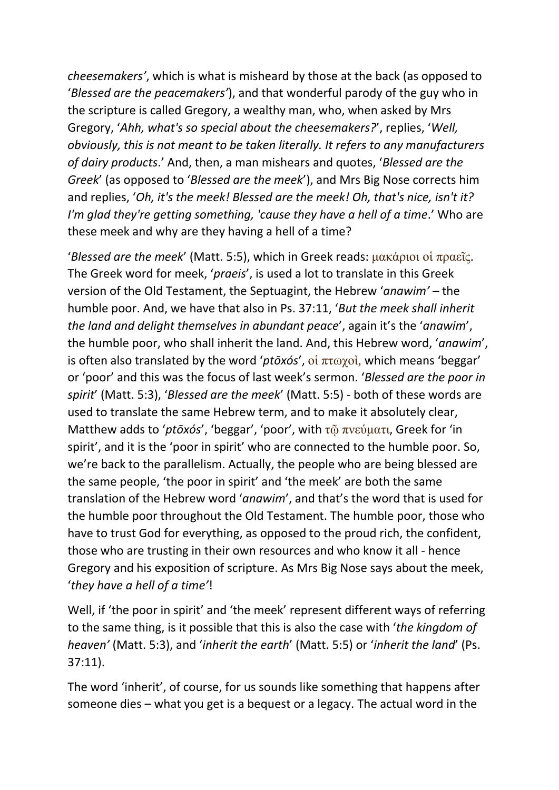*cheesemakers'*, which is what is misheard by those at the back (as opposed to '*Blessed are the peacemakers'*), and that wonderful parody of the guy who in the scripture is called Gregory, a wealthy man, who, when asked by Mrs Gregory, '*Ahh, what's so special about the cheesemakers?*', replies, '*Well, obviously, this is not meant to be taken literally. It refers to any manufacturers of dairy products*.' And, then, a man mishears and quotes, '*Blessed are the Greek*' (as opposed to '*Blessed are the meek*'), and Mrs Big Nose corrects him and replies, '*Oh, it's the meek! Blessed are the meek! Oh, that's nice, isn't it? I'm glad they're getting something, 'cause they have a hell of a time.'* Who are these meek and why are they having a hell of a time?

'*Blessed are the meek*' (Matt. 5:5), which in Greek reads: μακάριοι οἱ πραεῖς. The Greek word for meek, '*praeis*', is used a lot to translate in this Greek version of the Old Testament, the Septuagint, the Hebrew '*anawim'* – the humble poor. And, we have that also in Ps. 37:11, '*But the meek shall inherit the land and delight themselves in abundant peace*', again it's the '*anawim*', the humble poor, who shall inherit the land. And, this Hebrew word, '*anawim*', is often also translated by the word '*ptōxós*', οἱ πτωχοὶ, which means 'beggar' or 'poor' and this was the focus of last week's sermon. '*Blessed are the poor in spirit*' (Matt. 5:3), '*Blessed are the meek*' (Matt. 5:5) - both of these words are used to translate the same Hebrew term, and to make it absolutely clear, Matthew adds to '*ptōxós*', 'beggar', 'poor', with τῷ πνεύματι, Greek for 'in spirit', and it is the 'poor in spirit' who are connected to the humble poor. So, we're back to the parallelism. Actually, the people who are being blessed are the same people, 'the poor in spirit' and 'the meek' are both the same translation of the Hebrew word '*anawim*', and that's the word that is used for the humble poor throughout the Old Testament. The humble poor, those who have to trust God for everything, as opposed to the proud rich, the confident, those who are trusting in their own resources and who know it all - hence Gregory and his exposition of scripture. As Mrs Big Nose says about the meek, '*they have a hell of a time'*!

Well, if 'the poor in spirit' and 'the meek' represent different ways of referring to the same thing, is it possible that this is also the case with '*the kingdom of heaven'* (Matt. 5:3), and '*inherit the earth*' (Matt. 5:5) or '*inherit the land*' (Ps. 37:11).

The word 'inherit', of course, for us sounds like something that happens after someone dies – what you get is a bequest or a legacy. The actual word in the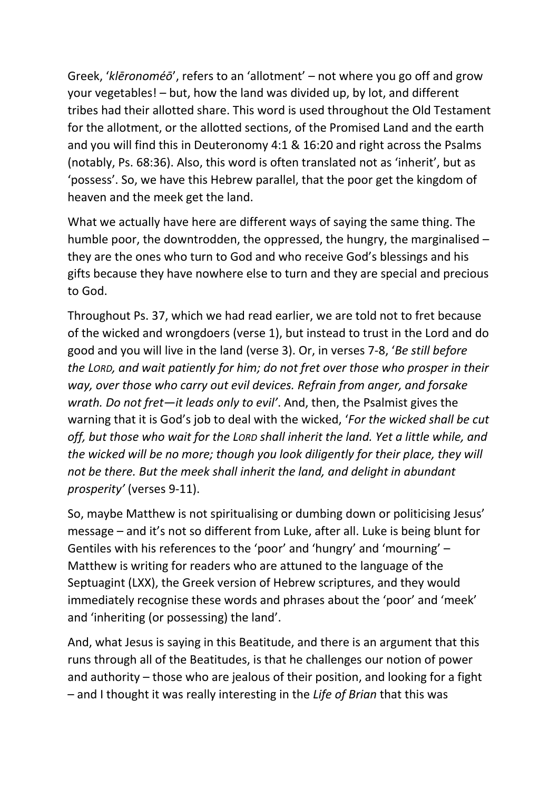Greek, '*klēronoméō*', refers to an 'allotment' – not where you go off and grow your vegetables! – but, how the land was divided up, by lot, and different tribes had their allotted share. This word is used throughout the Old Testament for the allotment, or the allotted sections, of the Promised Land and the earth and you will find this in Deuteronomy 4:1 & 16:20 and right across the Psalms (notably, Ps. 68:36). Also, this word is often translated not as 'inherit', but as 'possess'. So, we have this Hebrew parallel, that the poor get the kingdom of heaven and the meek get the land.

What we actually have here are different ways of saying the same thing. The humble poor, the downtrodden, the oppressed, the hungry, the marginalised – they are the ones who turn to God and who receive God's blessings and his gifts because they have nowhere else to turn and they are special and precious to God.

Throughout Ps. 37, which we had read earlier, we are told not to fret because of the wicked and wrongdoers (verse 1), but instead to trust in the Lord and do good and you will live in the land (verse 3). Or, in verses 7-8, '*Be still before the LORD, and wait patiently for him; do not fret over those who prosper in their way, over those who carry out evil devices. Refrain from anger, and forsake wrath. Do not fret—it leads only to evil'*. And, then, the Psalmist gives the warning that it is God's job to deal with the wicked, '*For the wicked shall be cut off, but those who wait for the LORD shall inherit the land. Yet a little while, and the wicked will be no more; though you look diligently for their place, they will not be there. But the meek shall inherit the land, and delight in abundant prosperity'* (verses 9-11).

So, maybe Matthew is not spiritualising or dumbing down or politicising Jesus' message – and it's not so different from Luke, after all. Luke is being blunt for Gentiles with his references to the 'poor' and 'hungry' and 'mourning' – Matthew is writing for readers who are attuned to the language of the Septuagint (LXX), the Greek version of Hebrew scriptures, and they would immediately recognise these words and phrases about the 'poor' and 'meek' and 'inheriting (or possessing) the land'.

And, what Jesus is saying in this Beatitude, and there is an argument that this runs through all of the Beatitudes, is that he challenges our notion of power and authority – those who are jealous of their position, and looking for a fight – and I thought it was really interesting in the *Life of Brian* that this was